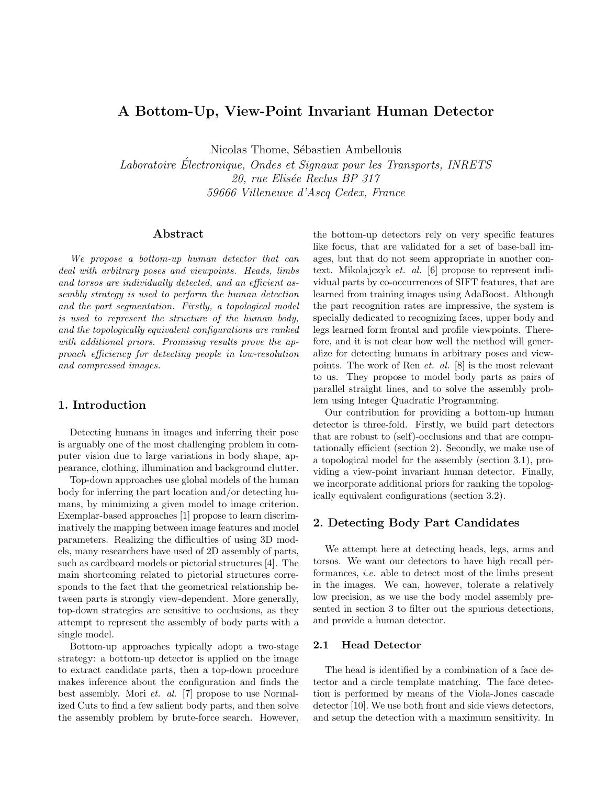# A Bottom-Up, View-Point Invariant Human Detector

Nicolas Thome, Sébastien Ambellouis

Laboratoire Electronique, Ondes et Signaux pour les Transports, INRETS ´ 20, rue Elisée Reclus BP 317 59666 Villeneuve d'Ascq Cedex, France

## Abstract

We propose a bottom-up human detector that can deal with arbitrary poses and viewpoints. Heads, limbs and torsos are individually detected, and an efficient assembly strategy is used to perform the human detection and the part segmentation. Firstly, a topological model is used to represent the structure of the human body, and the topologically equivalent configurations are ranked with additional priors. Promising results prove the approach efficiency for detecting people in low-resolution and compressed images.

## 1. Introduction

Detecting humans in images and inferring their pose is arguably one of the most challenging problem in computer vision due to large variations in body shape, appearance, clothing, illumination and background clutter.

Top-down approaches use global models of the human body for inferring the part location and/or detecting humans, by minimizing a given model to image criterion. Exemplar-based approaches [1] propose to learn discriminatively the mapping between image features and model parameters. Realizing the difficulties of using 3D models, many researchers have used of 2D assembly of parts, such as cardboard models or pictorial structures [4]. The main shortcoming related to pictorial structures corresponds to the fact that the geometrical relationship between parts is strongly view-dependent. More generally, top-down strategies are sensitive to occlusions, as they attempt to represent the assembly of body parts with a single model.

Bottom-up approaches typically adopt a two-stage strategy: a bottom-up detector is applied on the image to extract candidate parts, then a top-down procedure makes inference about the configuration and finds the best assembly. Mori et. al. [7] propose to use Normalized Cuts to find a few salient body parts, and then solve the assembly problem by brute-force search. However,

the bottom-up detectors rely on very specific features like focus, that are validated for a set of base-ball images, but that do not seem appropriate in another context. Mikolajczyk et. al. [6] propose to represent individual parts by co-occurrences of SIFT features, that are learned from training images using AdaBoost. Although the part recognition rates are impressive, the system is specially dedicated to recognizing faces, upper body and legs learned form frontal and profile viewpoints. Therefore, and it is not clear how well the method will generalize for detecting humans in arbitrary poses and viewpoints. The work of Ren et. al. [8] is the most relevant to us. They propose to model body parts as pairs of parallel straight lines, and to solve the assembly problem using Integer Quadratic Programming.

Our contribution for providing a bottom-up human detector is three-fold. Firstly, we build part detectors that are robust to (self)-occlusions and that are computationally efficient (section 2). Secondly, we make use of a topological model for the assembly (section 3.1), providing a view-point invariant human detector. Finally, we incorporate additional priors for ranking the topologically equivalent configurations (section 3.2).

## 2. Detecting Body Part Candidates

We attempt here at detecting heads, legs, arms and torsos. We want our detectors to have high recall performances, i.e. able to detect most of the limbs present in the images. We can, however, tolerate a relatively low precision, as we use the body model assembly presented in section 3 to filter out the spurious detections, and provide a human detector.

### 2.1 Head Detector

The head is identified by a combination of a face detector and a circle template matching. The face detection is performed by means of the Viola-Jones cascade detector [10]. We use both front and side views detectors, and setup the detection with a maximum sensitivity. In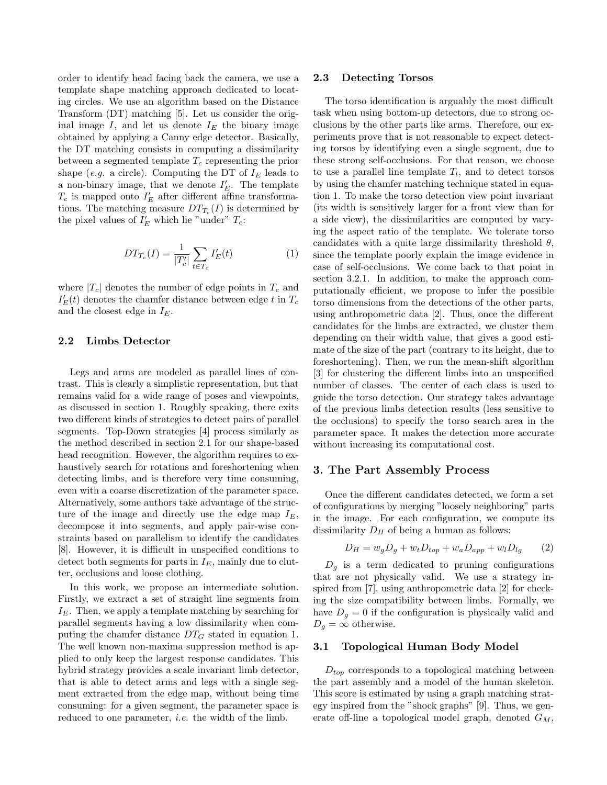order to identify head facing back the camera, we use a template shape matching approach dedicated to locating circles. We use an algorithm based on the Distance Transform (DT) matching [5]. Let us consider the original image  $I$ , and let us denote  $I<sub>E</sub>$  the binary image obtained by applying a Canny edge detector. Basically, the DT matching consists in computing a dissimilarity between a segmented template  $T_c$  representing the prior shape (e.g. a circle). Computing the DT of  $I<sub>E</sub>$  leads to a non-binary image, that we denote  $I'_E$ . The template  $T_c$  is mapped onto  $I'_E$  after different affine transformations. The matching measure  $DT_{T_c}(I)$  is determined by the pixel values of  $I'_E$  which lie "under"  $T_c$ :

$$
DT_{T_c}(I) = \frac{1}{|T_c'|} \sum_{t \in T_c} I'_E(t)
$$
 (1)

where  $|T_c|$  denotes the number of edge points in  $T_c$  and  $I_E^\prime(t)$  denotes the chamfer distance between edge  $t$  in  $T_c$ and the closest edge in  $I<sub>E</sub>$ .

## 2.2 Limbs Detector

Legs and arms are modeled as parallel lines of contrast. This is clearly a simplistic representation, but that remains valid for a wide range of poses and viewpoints, as discussed in section 1. Roughly speaking, there exits two different kinds of strategies to detect pairs of parallel segments. Top-Down strategies [4] process similarly as the method described in section 2.1 for our shape-based head recognition. However, the algorithm requires to exhaustively search for rotations and foreshortening when detecting limbs, and is therefore very time consuming, even with a coarse discretization of the parameter space. Alternatively, some authors take advantage of the structure of the image and directly use the edge map  $I_E$ , decompose it into segments, and apply pair-wise constraints based on parallelism to identify the candidates [8]. However, it is difficult in unspecified conditions to detect both segments for parts in  $I<sub>E</sub>$ , mainly due to clutter, occlusions and loose clothing.

In this work, we propose an intermediate solution. Firstly, we extract a set of straight line segments from  $I<sub>E</sub>$ . Then, we apply a template matching by searching for parallel segments having a low dissimilarity when computing the chamfer distance  $DT_G$  stated in equation 1. The well known non-maxima suppression method is applied to only keep the largest response candidates. This hybrid strategy provides a scale invariant limb detector, that is able to detect arms and legs with a single segment extracted from the edge map, without being time consuming: for a given segment, the parameter space is reduced to one parameter, *i.e.* the width of the limb.

#### 2.3 Detecting Torsos

The torso identification is arguably the most difficult task when using bottom-up detectors, due to strong occlusions by the other parts like arms. Therefore, our experiments prove that is not reasonable to expect detecting torsos by identifying even a single segment, due to these strong self-occlusions. For that reason, we choose to use a parallel line template  $T_l$ , and to detect torsos by using the chamfer matching technique stated in equation 1. To make the torso detection view point invariant (its width is sensitively larger for a front view than for a side view), the dissimilarities are computed by varying the aspect ratio of the template. We tolerate torso candidates with a quite large dissimilarity threshold  $\theta$ , since the template poorly explain the image evidence in case of self-occlusions. We come back to that point in section 3.2.1. In addition, to make the approach computationally efficient, we propose to infer the possible torso dimensions from the detections of the other parts, using anthropometric data [2]. Thus, once the different candidates for the limbs are extracted, we cluster them depending on their width value, that gives a good estimate of the size of the part (contrary to its height, due to foreshortening). Then, we run the mean-shift algorithm [3] for clustering the different limbs into an unspecified number of classes. The center of each class is used to guide the torso detection. Our strategy takes advantage of the previous limbs detection results (less sensitive to the occlusions) to specify the torso search area in the parameter space. It makes the detection more accurate without increasing its computational cost.

## 3. The Part Assembly Process

Once the different candidates detected, we form a set of configurations by merging "loosely neighboring" parts in the image. For each configuration, we compute its dissimilarity  $D_H$  of being a human as follows:

$$
D_H = w_g D_g + w_t D_{top} + w_a D_{app} + w_l D_{lg} \qquad (2)
$$

 $D_g$  is a term dedicated to pruning configurations that are not physically valid. We use a strategy inspired from [7], using anthropometric data [2] for checking the size compatibility between limbs. Formally, we have  $D_g = 0$  if the configuration is physically valid and  $D_q = \infty$  otherwise.

#### 3.1 Topological Human Body Model

 $D_{top}$  corresponds to a topological matching between the part assembly and a model of the human skeleton. This score is estimated by using a graph matching strategy inspired from the "shock graphs" [9]. Thus, we generate off-line a topological model graph, denoted  $G_M$ ,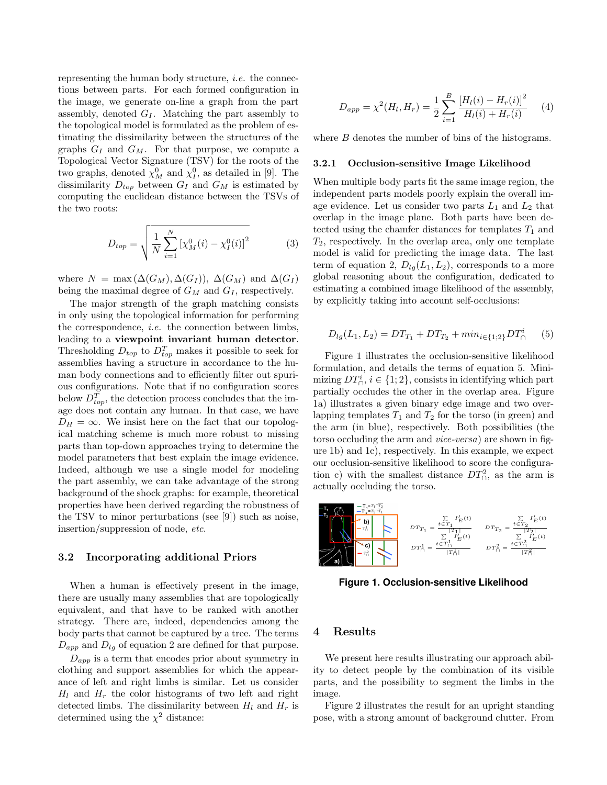representing the human body structure, *i.e.* the connections between parts. For each formed configuration in the image, we generate on-line a graph from the part assembly, denoted  $G_I$ . Matching the part assembly to the topological model is formulated as the problem of estimating the dissimilarity between the structures of the graphs  $G_I$  and  $G_M$ . For that purpose, we compute a Topological Vector Signature (TSV) for the roots of the two graphs, denoted  $\chi_M^0$  and  $\chi_I^0$ , as detailed in [9]. The dissimilarity  $D_{top}$  between  $G_I$  and  $G_M$  is estimated by computing the euclidean distance between the TSVs of the two roots:

$$
D_{top} = \sqrt{\frac{1}{N} \sum_{i=1}^{N} \left[ \chi_M^0(i) - \chi_I^0(i) \right]^2}
$$
 (3)

where  $N = \max(\Delta(G_M), \Delta(G_I)), \Delta(G_M)$  and  $\Delta(G_I)$ being the maximal degree of  $G_M$  and  $G_I$ , respectively.

The major strength of the graph matching consists in only using the topological information for performing the correspondence, i.e. the connection between limbs, leading to a viewpoint invariant human detector. Thresholding  $D_{top}$  to  $D_{top}^T$  makes it possible to seek for assemblies having a structure in accordance to the human body connections and to efficiently filter out spurious configurations. Note that if no configuration scores below  $D_{top}^T$ , the detection process concludes that the image does not contain any human. In that case, we have  $D_H = \infty$ . We insist here on the fact that our topological matching scheme is much more robust to missing parts than top-down approaches trying to determine the model parameters that best explain the image evidence. Indeed, although we use a single model for modeling the part assembly, we can take advantage of the strong background of the shock graphs: for example, theoretical properties have been derived regarding the robustness of the TSV to minor perturbations (see [9]) such as noise, insertion/suppression of node, etc.

#### 3.2 Incorporating additional Priors

When a human is effectively present in the image, there are usually many assemblies that are topologically equivalent, and that have to be ranked with another strategy. There are, indeed, dependencies among the body parts that cannot be captured by a tree. The terms  $D_{app}$  and  $D_{lg}$  of equation 2 are defined for that purpose.

 $D_{app}$  is a term that encodes prior about symmetry in clothing and support assemblies for which the appearance of left and right limbs is similar. Let us consider  $H_l$  and  $H_r$  the color histograms of two left and right detected limbs. The dissimilarity between  $H_l$  and  $H_r$  is determined using the  $\chi^2$  distance:

$$
D_{app} = \chi^2(H_l, H_r) = \frac{1}{2} \sum_{i=1}^{B} \frac{[H_l(i) - H_r(i)]^2}{H_l(i) + H_r(i)} \tag{4}
$$

where  $B$  denotes the number of bins of the histograms.

#### 3.2.1 Occlusion-sensitive Image Likelihood

When multiple body parts fit the same image region, the independent parts models poorly explain the overall image evidence. Let us consider two parts  $L_1$  and  $L_2$  that overlap in the image plane. Both parts have been detected using the chamfer distances for templates  $T_1$  and  $T_2$ , respectively. In the overlap area, only one template model is valid for predicting the image data. The last term of equation 2,  $D_{lg}(L_1, L_2)$ , corresponds to a more global reasoning about the configuration, dedicated to estimating a combined image likelihood of the assembly, by explicitly taking into account self-occlusions:

$$
D_{lg}(L_1, L_2) = DT_{T_1} + DT_{T_2} + min_{i \in \{1, 2\}} DT_{\cap}^i \qquad (5)
$$

Figure 1 illustrates the occlusion-sensitive likelihood formulation, and details the terms of equation 5. Minimizing  $DT_{\bigcap}^i$ ,  $i \in \{1, 2\}$ , consists in identifying which part partially occludes the other in the overlap area. Figure 1a) illustrates a given binary edge image and two overlapping templates  $T_1$  and  $T_2$  for the torso (in green) and the arm (in blue), respectively. Both possibilities (the torso occluding the arm and vice-versa) are shown in figure 1b) and 1c), respectively. In this example, we expect our occlusion-sensitive likelihood to score the configuration c) with the smallest distance  $DT_{\cap}^2$ , as the arm is actually occluding the torso.



**Figure 1. Occlusion-sensitive Likelihood**

## 4 Results

We present here results illustrating our approach ability to detect people by the combination of its visible parts, and the possibility to segment the limbs in the image.

Figure 2 illustrates the result for an upright standing pose, with a strong amount of background clutter. From